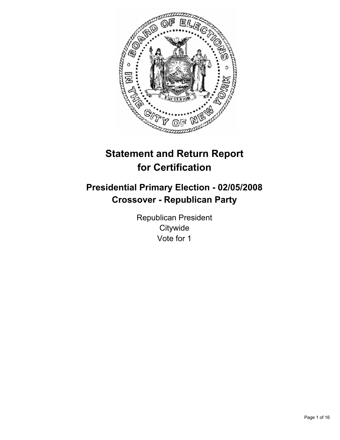

# **Statement and Return Report for Certification**

# **Presidential Primary Election - 02/05/2008 Crossover - Republican Party**

Republican President **Citywide** Vote for 1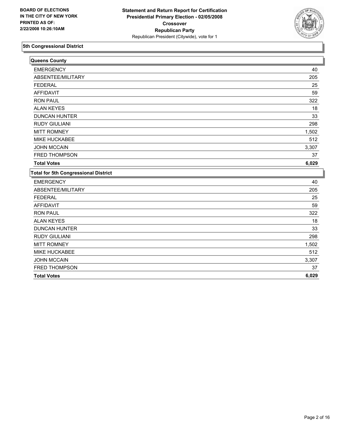

| Queens County                               |       |
|---------------------------------------------|-------|
| <b>EMERGENCY</b>                            | 40    |
| ABSENTEE/MILITARY                           | 205   |
| <b>FEDERAL</b>                              | 25    |
| <b>AFFIDAVIT</b>                            | 59    |
| <b>RON PAUL</b>                             | 322   |
| <b>ALAN KEYES</b>                           | 18    |
| <b>DUNCAN HUNTER</b>                        | 33    |
| <b>RUDY GIULIANI</b>                        | 298   |
| <b>MITT ROMNEY</b>                          | 1,502 |
| <b>MIKE HUCKABEE</b>                        | 512   |
| <b>JOHN MCCAIN</b>                          | 3,307 |
| <b>FRED THOMPSON</b>                        | 37    |
| <b>Total Votes</b>                          | 6,029 |
| <b>Total for 5th Congressional District</b> |       |
| <b>EMERGENCY</b>                            | 40    |
| ABSENTEE/MILITARY                           | 205   |
| <b>FEDERAL</b>                              | 25    |
| <b>AFFIDAVIT</b>                            | 59    |
| <b>RON PAUL</b>                             | 322   |
| <b>ALAN KEYES</b>                           | 18    |
| <b>DUNCAN HUNTER</b>                        | 33    |
| <b>RUDY GIULIANI</b>                        | 298   |
| <b>MITT ROMNEY</b>                          | 1,502 |
| <b>MIKE HUCKABEE</b>                        | 512   |
| <b>JOHN MCCAIN</b>                          | 3,307 |
| FRED THOMPSON                               | 37    |
| <b>Total Votes</b>                          | 6,029 |
|                                             |       |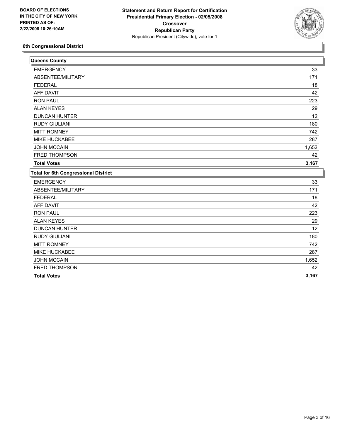

| Queens County                               |       |
|---------------------------------------------|-------|
| <b>EMERGENCY</b>                            | 33    |
| ABSENTEE/MILITARY                           | 171   |
| <b>FEDERAL</b>                              | 18    |
| <b>AFFIDAVIT</b>                            | 42    |
| <b>RON PAUL</b>                             | 223   |
| <b>ALAN KEYES</b>                           | 29    |
| <b>DUNCAN HUNTER</b>                        | 12    |
| <b>RUDY GIULIANI</b>                        | 180   |
| <b>MITT ROMNEY</b>                          | 742   |
| <b>MIKE HUCKABEE</b>                        | 287   |
| <b>JOHN MCCAIN</b>                          | 1,652 |
| <b>FRED THOMPSON</b>                        | 42    |
| <b>Total Votes</b>                          | 3,167 |
| <b>Total for 6th Congressional District</b> |       |
| <b>EMERGENCY</b>                            | 33    |
| ABSENTEE/MILITARY                           | 171   |
| <b>FEDERAL</b>                              | 18    |
| <b>AFFIDAVIT</b>                            | 42    |
| <b>RON PAUL</b>                             | 223   |
| <b>ALAN KEYES</b>                           | 29    |
| <b>DUNCAN HUNTER</b>                        | 12    |
| <b>RUDY GIULIANI</b>                        | 180   |
| <b>MITT ROMNEY</b>                          | 742   |
| MIKE HUCKABEE                               | 287   |
| <b>JOHN MCCAIN</b>                          | 1,652 |
| FRED THOMPSON                               | 42    |
| <b>Total Votes</b>                          | 3,167 |
|                                             |       |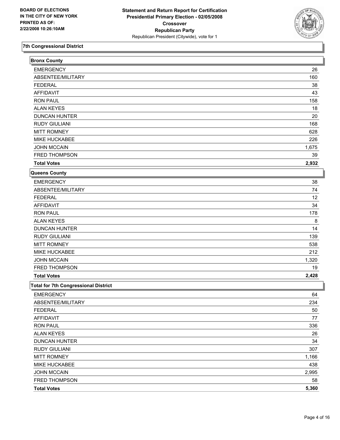

| <b>Bronx County</b>                         |       |
|---------------------------------------------|-------|
| <b>EMERGENCY</b>                            | 26    |
| ABSENTEE/MILITARY                           | 160   |
| <b>FEDERAL</b>                              | 38    |
| <b>AFFIDAVIT</b>                            | 43    |
| <b>RON PAUL</b>                             | 158   |
| <b>ALAN KEYES</b>                           | 18    |
| <b>DUNCAN HUNTER</b>                        | 20    |
| <b>RUDY GIULIANI</b>                        | 168   |
| <b>MITT ROMNEY</b>                          | 628   |
| MIKE HUCKABEE                               | 226   |
| <b>JOHN MCCAIN</b>                          | 1,675 |
| FRED THOMPSON                               | 39    |
| <b>Total Votes</b>                          | 2,932 |
| Queens County                               |       |
| <b>EMERGENCY</b>                            | 38    |
| ABSENTEE/MILITARY                           | 74    |
| <b>FEDERAL</b>                              | 12    |
| <b>AFFIDAVIT</b>                            | 34    |
| <b>RON PAUL</b>                             | 178   |
| <b>ALAN KEYES</b>                           | 8     |
| <b>DUNCAN HUNTER</b>                        | 14    |
| <b>RUDY GIULIANI</b>                        | 139   |
| <b>MITT ROMNEY</b>                          | 538   |
| MIKE HUCKABEE                               | 212   |
| <b>JOHN MCCAIN</b>                          | 1,320 |
| FRED THOMPSON                               | 19    |
| <b>Total Votes</b>                          | 2,428 |
| <b>Total for 7th Congressional District</b> |       |
| <b>EMERGENCY</b>                            | 64    |
| ABSENTEE/MILITARY                           | 234   |
| <b>FEDERAL</b>                              | 50    |
| <b>AFFIDAVIT</b>                            | 77    |
| <b>RON PAUL</b>                             | 336   |
| <b>ALAN KEYES</b>                           | 26    |
| <b>DUNCAN HUNTER</b>                        | 34    |
| <b>RUDY GIULIANI</b>                        | 307   |
| <b>MITT ROMNEY</b>                          | 1,166 |
| MIKE HUCKABEE                               | 438   |
| <b>JOHN MCCAIN</b>                          | 2,995 |
| FRED THOMPSON                               | 58    |
| <b>Total Votes</b>                          | 5,360 |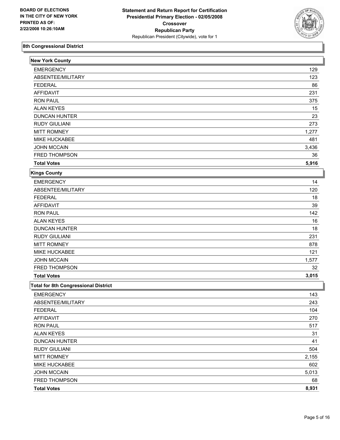

| <b>New York County</b>                      |       |
|---------------------------------------------|-------|
| <b>EMERGENCY</b>                            | 129   |
| ABSENTEE/MILITARY                           | 123   |
| <b>FEDERAL</b>                              | 86    |
| <b>AFFIDAVIT</b>                            | 231   |
| <b>RON PAUL</b>                             | 375   |
| <b>ALAN KEYES</b>                           | 15    |
| <b>DUNCAN HUNTER</b>                        | 23    |
| <b>RUDY GIULIANI</b>                        | 273   |
| <b>MITT ROMNEY</b>                          | 1,277 |
| MIKE HUCKABEE                               | 481   |
| <b>JOHN MCCAIN</b>                          | 3,436 |
| FRED THOMPSON                               | 36    |
| <b>Total Votes</b>                          | 5,916 |
| Kings County                                |       |
| <b>EMERGENCY</b>                            | 14    |
| ABSENTEE/MILITARY                           | 120   |
| <b>FEDERAL</b>                              | 18    |
| <b>AFFIDAVIT</b>                            | 39    |
| <b>RON PAUL</b>                             | 142   |
| <b>ALAN KEYES</b>                           | 16    |
| <b>DUNCAN HUNTER</b>                        | 18    |
| <b>RUDY GIULIANI</b>                        | 231   |
| <b>MITT ROMNEY</b>                          | 878   |
| MIKE HUCKABEE                               | 121   |
| <b>JOHN MCCAIN</b>                          | 1,577 |
| FRED THOMPSON                               | 32    |
| <b>Total Votes</b>                          | 3,015 |
| <b>Total for 8th Congressional District</b> |       |
| <b>EMERGENCY</b>                            | 143   |
| ABSENTEE/MILITARY                           | 243   |
| <b>FEDERAL</b>                              | 104   |
| <b>AFFIDAVIT</b>                            | 270   |
| <b>RON PAUL</b>                             | 517   |
| <b>ALAN KEYES</b>                           | 31    |
| <b>DUNCAN HUNTER</b>                        | 41    |
| <b>RUDY GIULIANI</b>                        | 504   |
| <b>MITT ROMNEY</b>                          | 2,155 |
| MIKE HUCKABEE                               | 602   |
| <b>JOHN MCCAIN</b>                          | 5,013 |
| FRED THOMPSON                               | 68    |
| <b>Total Votes</b>                          | 8,931 |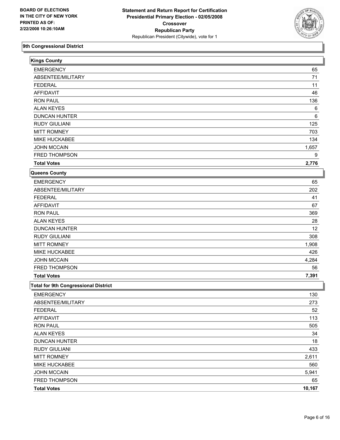

| <b>Kings County</b>                         |        |
|---------------------------------------------|--------|
| <b>EMERGENCY</b>                            | 65     |
| ABSENTEE/MILITARY                           | 71     |
| <b>FEDERAL</b>                              | 11     |
| <b>AFFIDAVIT</b>                            | 46     |
| <b>RON PAUL</b>                             | 136    |
| <b>ALAN KEYES</b>                           | 6      |
| <b>DUNCAN HUNTER</b>                        | 6      |
| <b>RUDY GIULIANI</b>                        | 125    |
| <b>MITT ROMNEY</b>                          | 703    |
| MIKE HUCKABEE                               | 134    |
| JOHN MCCAIN                                 | 1,657  |
| FRED THOMPSON                               | 9      |
| <b>Total Votes</b>                          | 2,776  |
| <b>Queens County</b>                        |        |
| <b>EMERGENCY</b>                            | 65     |
| ABSENTEE/MILITARY                           | 202    |
| <b>FEDERAL</b>                              | 41     |
| <b>AFFIDAVIT</b>                            | 67     |
| <b>RON PAUL</b>                             | 369    |
| <b>ALAN KEYES</b>                           | 28     |
| <b>DUNCAN HUNTER</b>                        | 12     |
| <b>RUDY GIULIANI</b>                        | 308    |
| <b>MITT ROMNEY</b>                          | 1,908  |
| MIKE HUCKABEE                               | 426    |
| <b>JOHN MCCAIN</b>                          | 4,284  |
| FRED THOMPSON                               | 56     |
| <b>Total Votes</b>                          | 7,391  |
| <b>Total for 9th Congressional District</b> |        |
| <b>EMERGENCY</b>                            | 130    |
| ABSENTEE/MILITARY                           | 273    |
| <b>FEDERAL</b>                              | 52     |
| <b>AFFIDAVIT</b>                            | 113    |
| <b>RON PAUL</b>                             | 505    |
| <b>ALAN KEYES</b>                           | 34     |
| <b>DUNCAN HUNTER</b>                        | 18     |
| <b>RUDY GIULIANI</b>                        | 433    |
| <b>MITT ROMNEY</b>                          | 2,611  |
| <b>MIKE HUCKABEE</b>                        | 560    |
| <b>JOHN MCCAIN</b>                          | 5,941  |
| FRED THOMPSON                               | 65     |
| <b>Total Votes</b>                          | 10,167 |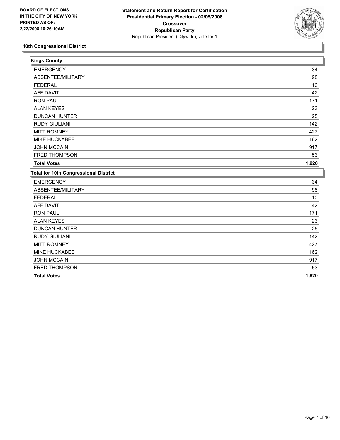

| <b>Kings County</b>                          |       |
|----------------------------------------------|-------|
| <b>EMERGENCY</b>                             | 34    |
| ABSENTEE/MILITARY                            | 98    |
| <b>FEDERAL</b>                               | 10    |
| <b>AFFIDAVIT</b>                             | 42    |
| <b>RON PAUL</b>                              | 171   |
| <b>ALAN KEYES</b>                            | 23    |
| <b>DUNCAN HUNTER</b>                         | 25    |
| <b>RUDY GIULIANI</b>                         | 142   |
| <b>MITT ROMNEY</b>                           | 427   |
| MIKE HUCKABEE                                | 162   |
| <b>JOHN MCCAIN</b>                           | 917   |
| FRED THOMPSON                                | 53    |
| <b>Total Votes</b>                           | 1,920 |
| <b>Total for 10th Congressional District</b> |       |
| <b>EMERGENCY</b>                             | 34    |
| ABSENTEE/MILITARY                            | 98    |
| <b>FEDERAL</b>                               | 10    |
| <b>AFFIDAVIT</b>                             | 42    |
| <b>RON PAUL</b>                              | 171   |
| <b>ALAN KEYES</b>                            | 23    |
| <b>DUNCAN HUNTER</b>                         | 25    |
| <b>RUDY GIULIANI</b>                         | 142   |
| <b>MITT ROMNEY</b>                           | 427   |
| MIKE HUCKABEE                                | 162   |
| <b>JOHN MCCAIN</b>                           | 917   |
| FRED THOMPSON                                | 53    |
| <b>Total Votes</b>                           | 1,920 |
|                                              |       |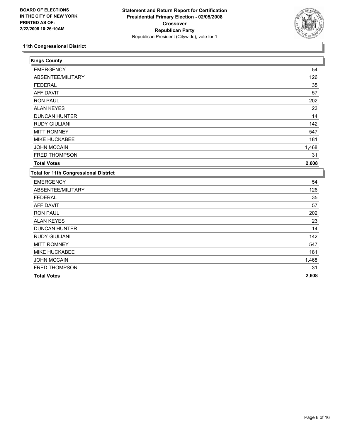

| <b>Kings County</b>                          |       |
|----------------------------------------------|-------|
| <b>EMERGENCY</b>                             | 54    |
| ABSENTEE/MILITARY                            | 126   |
| <b>FEDERAL</b>                               | 35    |
| <b>AFFIDAVIT</b>                             | 57    |
| <b>RON PAUL</b>                              | 202   |
| <b>ALAN KEYES</b>                            | 23    |
| <b>DUNCAN HUNTER</b>                         | 14    |
| <b>RUDY GIULIANI</b>                         | 142   |
| <b>MITT ROMNEY</b>                           | 547   |
| MIKE HUCKABEE                                | 181   |
| <b>JOHN MCCAIN</b>                           | 1,468 |
| FRED THOMPSON                                | 31    |
| <b>Total Votes</b>                           | 2,608 |
| <b>Total for 11th Congressional District</b> |       |
| <b>EMERGENCY</b>                             | 54    |
| ABSENTEE/MILITARY                            | 126   |
| <b>FEDERAL</b>                               | 35    |
| <b>AFFIDAVIT</b>                             | 57    |
| <b>RON PAUL</b>                              | 202   |
| <b>ALAN KEYES</b>                            | 23    |
| <b>DUNCAN HUNTER</b>                         | 14    |
| <b>RUDY GIULIANI</b>                         | 142   |
| <b>MITT ROMNEY</b>                           | 547   |
| MIKE HUCKABEE                                | 181   |
| <b>JOHN MCCAIN</b>                           | 1,468 |
| FRED THOMPSON                                | 31    |
| <b>Total Votes</b>                           | 2,608 |
|                                              |       |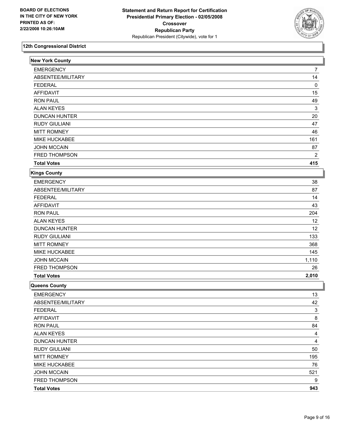

| <b>New York County</b> |                  |
|------------------------|------------------|
| <b>EMERGENCY</b>       | 7                |
| ABSENTEE/MILITARY      | 14               |
| <b>FEDERAL</b>         | 0                |
| <b>AFFIDAVIT</b>       | 15               |
| <b>RON PAUL</b>        | 49               |
| <b>ALAN KEYES</b>      | 3                |
| <b>DUNCAN HUNTER</b>   | 20               |
| <b>RUDY GIULIANI</b>   | 47               |
| <b>MITT ROMNEY</b>     | 46               |
| MIKE HUCKABEE          | 161              |
| <b>JOHN MCCAIN</b>     | 87               |
| FRED THOMPSON          | 2                |
| <b>Total Votes</b>     | 415              |
| <b>Kings County</b>    |                  |
| <b>EMERGENCY</b>       | 38               |
| ABSENTEE/MILITARY      | 87               |
| <b>FEDERAL</b>         | 14               |
| <b>AFFIDAVIT</b>       | 43               |
| <b>RON PAUL</b>        | 204              |
| <b>ALAN KEYES</b>      | 12               |
| <b>DUNCAN HUNTER</b>   | 12               |
| <b>RUDY GIULIANI</b>   | 133              |
| <b>MITT ROMNEY</b>     | 368              |
| MIKE HUCKABEE          | 145              |
| <b>JOHN MCCAIN</b>     | 1,110            |
| FRED THOMPSON          | 26               |
| <b>Total Votes</b>     | 2,010            |
| Queens County          |                  |
| <b>EMERGENCY</b>       | 13               |
| ABSENTEE/MILITARY      | 42               |
| <b>FEDERAL</b>         | 3                |
| <b>AFFIDAVIT</b>       | 8                |
| <b>RON PAUL</b>        | 84               |
| <b>ALAN KEYES</b>      | 4                |
| <b>DUNCAN HUNTER</b>   | 4                |
| <b>RUDY GIULIANI</b>   | 50               |
| <b>MITT ROMNEY</b>     | 195              |
| MIKE HUCKABEE          | 76               |
| <b>JOHN MCCAIN</b>     | 521              |
| FRED THOMPSON          | $\boldsymbol{9}$ |
| <b>Total Votes</b>     | 943              |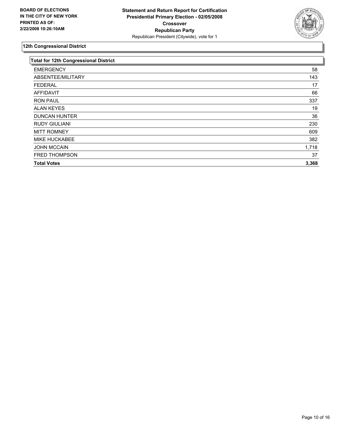

| <b>Total for 12th Congressional District</b> |       |
|----------------------------------------------|-------|
| <b>EMERGENCY</b>                             | 58    |
| ABSENTEE/MILITARY                            | 143   |
| <b>FEDERAL</b>                               | 17    |
| AFFIDAVIT                                    | 66    |
| <b>RON PAUL</b>                              | 337   |
| <b>ALAN KEYES</b>                            | 19    |
| <b>DUNCAN HUNTER</b>                         | 36    |
| <b>RUDY GIULIANI</b>                         | 230   |
| <b>MITT ROMNEY</b>                           | 609   |
| MIKE HUCKABEE                                | 382   |
| <b>JOHN MCCAIN</b>                           | 1,718 |
| <b>FRED THOMPSON</b>                         | 37    |
| <b>Total Votes</b>                           | 3,368 |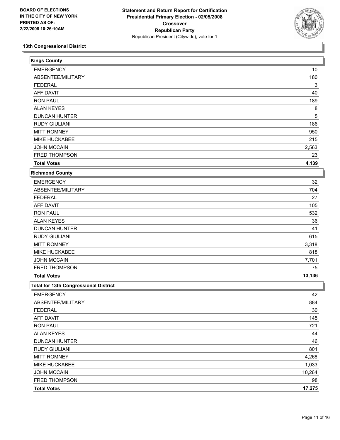

| <b>Kings County</b>                          |        |
|----------------------------------------------|--------|
| <b>EMERGENCY</b>                             | 10     |
| ABSENTEE/MILITARY                            | 180    |
| <b>FEDERAL</b>                               | 3      |
| <b>AFFIDAVIT</b>                             | 40     |
| <b>RON PAUL</b>                              | 189    |
| <b>ALAN KEYES</b>                            | 8      |
| <b>DUNCAN HUNTER</b>                         | 5      |
| <b>RUDY GIULIANI</b>                         | 186    |
| <b>MITT ROMNEY</b>                           | 950    |
| MIKE HUCKABEE                                | 215    |
| <b>JOHN MCCAIN</b>                           | 2,563  |
| FRED THOMPSON                                | 23     |
| <b>Total Votes</b>                           | 4,139  |
| <b>Richmond County</b>                       |        |
| <b>EMERGENCY</b>                             | 32     |
| ABSENTEE/MILITARY                            | 704    |
| <b>FEDERAL</b>                               | 27     |
| <b>AFFIDAVIT</b>                             | 105    |
| <b>RON PAUL</b>                              | 532    |
| <b>ALAN KEYES</b>                            | 36     |
| <b>DUNCAN HUNTER</b>                         | 41     |
| <b>RUDY GIULIANI</b>                         | 615    |
| <b>MITT ROMNEY</b>                           | 3,318  |
| MIKE HUCKABEE                                | 818    |
| <b>JOHN MCCAIN</b>                           | 7,701  |
| FRED THOMPSON                                | 75     |
| <b>Total Votes</b>                           | 13,136 |
| <b>Total for 13th Congressional District</b> |        |
| <b>EMERGENCY</b>                             | 42     |
| ABSENTEE/MILITARY                            | 884    |
| <b>FEDERAL</b>                               | 30     |
| <b>AFFIDAVIT</b>                             | 145    |
| <b>RON PAUL</b>                              | 721    |
| <b>ALAN KEYES</b>                            | 44     |
| <b>DUNCAN HUNTER</b>                         | 46     |
| <b>RUDY GIULIANI</b>                         | 801    |
| <b>MITT ROMNEY</b>                           | 4,268  |
| MIKE HUCKABEE                                | 1,033  |
| <b>JOHN MCCAIN</b>                           | 10,264 |
| FRED THOMPSON                                | 98     |
| <b>Total Votes</b>                           | 17,275 |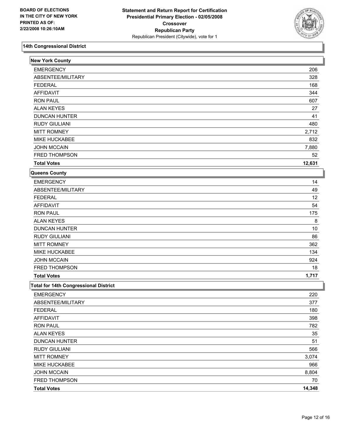

| <b>New York County</b>                       |        |
|----------------------------------------------|--------|
| <b>EMERGENCY</b>                             | 206    |
| ABSENTEE/MILITARY                            | 328    |
| <b>FEDERAL</b>                               | 168    |
| <b>AFFIDAVIT</b>                             | 344    |
| <b>RON PAUL</b>                              | 607    |
| <b>ALAN KEYES</b>                            | 27     |
| <b>DUNCAN HUNTER</b>                         | 41     |
| <b>RUDY GIULIANI</b>                         | 480    |
| <b>MITT ROMNEY</b>                           | 2,712  |
| MIKE HUCKABEE                                | 832    |
| <b>JOHN MCCAIN</b>                           | 7,880  |
| FRED THOMPSON                                | 52     |
| <b>Total Votes</b>                           | 12,631 |
| Queens County                                |        |
| <b>EMERGENCY</b>                             | 14     |
| ABSENTEE/MILITARY                            | 49     |
| <b>FEDERAL</b>                               | 12     |
| <b>AFFIDAVIT</b>                             | 54     |
| <b>RON PAUL</b>                              | 175    |
| <b>ALAN KEYES</b>                            | 8      |
| <b>DUNCAN HUNTER</b>                         | $10$   |
| <b>RUDY GIULIANI</b>                         | 86     |
| <b>MITT ROMNEY</b>                           | 362    |
| MIKE HUCKABEE                                | 134    |
| <b>JOHN MCCAIN</b>                           | 924    |
| FRED THOMPSON                                | 18     |
| <b>Total Votes</b>                           | 1,717  |
| <b>Total for 14th Congressional District</b> |        |
| <b>EMERGENCY</b>                             | 220    |
| ABSENTEE/MILITARY                            | 377    |
| <b>FEDERAL</b>                               | 180    |
| <b>AFFIDAVIT</b>                             | 398    |
| <b>RON PAUL</b>                              | 782    |
| <b>ALAN KEYES</b>                            | 35     |
| <b>DUNCAN HUNTER</b>                         | 51     |
| <b>RUDY GIULIANI</b>                         | 566    |
| <b>MITT ROMNEY</b>                           | 3,074  |
| MIKE HUCKABEE                                | 966    |
| <b>JOHN MCCAIN</b>                           | 8,804  |
| FRED THOMPSON                                | 70     |
|                                              | 14,348 |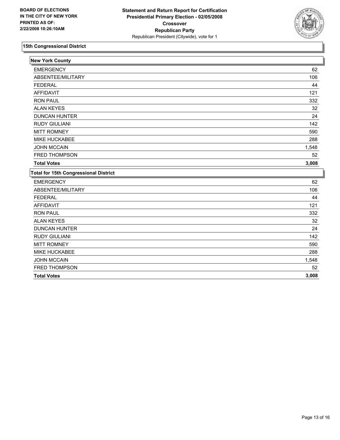

| <b>New York County</b>                       |       |
|----------------------------------------------|-------|
| <b>EMERGENCY</b>                             | 62    |
| ABSENTEE/MILITARY                            | 106   |
| <b>FEDERAL</b>                               | 44    |
| <b>AFFIDAVIT</b>                             | 121   |
| <b>RON PAUL</b>                              | 332   |
| <b>ALAN KEYES</b>                            | 32    |
| <b>DUNCAN HUNTER</b>                         | 24    |
| <b>RUDY GIULIANI</b>                         | 142   |
| <b>MITT ROMNEY</b>                           | 590   |
| MIKE HUCKABEE                                | 288   |
| <b>JOHN MCCAIN</b>                           | 1,548 |
| <b>FRED THOMPSON</b>                         | 52    |
| <b>Total Votes</b>                           | 3,008 |
| <b>Total for 15th Congressional District</b> |       |
| <b>EMERGENCY</b>                             | 62    |
| ABSENTEE/MILITARY                            | 106   |
| <b>FEDERAL</b>                               | 44    |
| <b>AFFIDAVIT</b>                             | 121   |
| <b>RON PAUL</b>                              | 332   |
| <b>ALAN KEYES</b>                            | 32    |
| <b>DUNCAN HUNTER</b>                         | 24    |
| <b>RUDY GIULIANI</b>                         | 142   |
| <b>MITT ROMNEY</b>                           | 590   |
| MIKE HUCKABEE                                | 288   |
| <b>JOHN MCCAIN</b>                           | 1,548 |
| FRED THOMPSON                                | 52    |
| <b>Total Votes</b>                           | 3,008 |
|                                              |       |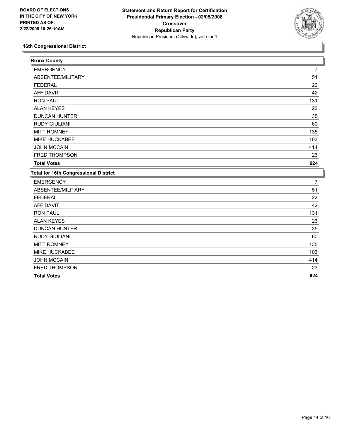

| <b>Bronx County</b>                          |     |
|----------------------------------------------|-----|
| <b>EMERGENCY</b>                             | 7   |
| ABSENTEE/MILITARY                            | 51  |
| <b>FEDERAL</b>                               | 22  |
| <b>AFFIDAVIT</b>                             | 42  |
| <b>RON PAUL</b>                              | 131 |
| <b>ALAN KEYES</b>                            | 23  |
| <b>DUNCAN HUNTER</b>                         | 35  |
| <b>RUDY GIULIANI</b>                         | 60  |
| <b>MITT ROMNEY</b>                           | 135 |
| MIKE HUCKABEE                                | 103 |
| <b>JOHN MCCAIN</b>                           | 414 |
| FRED THOMPSON                                | 23  |
| <b>Total Votes</b>                           | 924 |
| <b>Total for 16th Congressional District</b> |     |
| <b>EMERGENCY</b>                             | 7   |
| ABSENTEE/MILITARY                            | 51  |
| <b>FEDERAL</b>                               | 22  |
| <b>AFFIDAVIT</b>                             | 42  |
| <b>RON PAUL</b>                              | 131 |
| <b>ALAN KEYES</b>                            | 23  |
| <b>DUNCAN HUNTER</b>                         | 35  |
| <b>RUDY GIULIANI</b>                         | 60  |
| <b>MITT ROMNEY</b>                           | 135 |
| MIKE HUCKABEE                                | 103 |
| <b>JOHN MCCAIN</b>                           | 414 |
| FRED THOMPSON                                | 23  |
|                                              |     |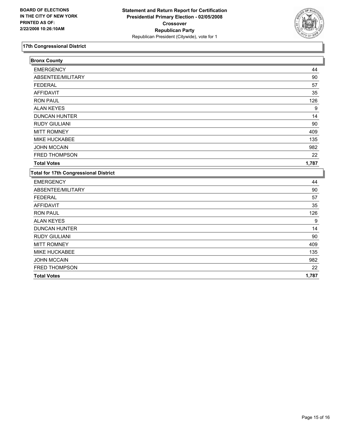

| <b>Bronx County</b>                          |       |
|----------------------------------------------|-------|
| <b>EMERGENCY</b>                             | 44    |
| ABSENTEE/MILITARY                            | 90    |
| <b>FEDERAL</b>                               | 57    |
| <b>AFFIDAVIT</b>                             | 35    |
| <b>RON PAUL</b>                              | 126   |
| <b>ALAN KEYES</b>                            | 9     |
| <b>DUNCAN HUNTER</b>                         | 14    |
| <b>RUDY GIULIANI</b>                         | 90    |
| <b>MITT ROMNEY</b>                           | 409   |
| <b>MIKE HUCKABEE</b>                         | 135   |
| <b>JOHN MCCAIN</b>                           | 982   |
| FRED THOMPSON                                | 22    |
| <b>Total Votes</b>                           | 1,787 |
| <b>Total for 17th Congressional District</b> |       |
| <b>EMERGENCY</b>                             | 44    |
| ABSENTEE/MILITARY                            | 90    |
| <b>FEDERAL</b>                               | 57    |
| <b>AFFIDAVIT</b>                             | 35    |
| <b>RON PAUL</b>                              | 126   |
| <b>ALAN KEYES</b>                            | 9     |
| <b>DUNCAN HUNTER</b>                         | 14    |
| <b>RUDY GIULIANI</b>                         | 90    |
| <b>MITT ROMNEY</b>                           | 409   |
| MIKE HUCKABEE                                | 135   |
| <b>JOHN MCCAIN</b>                           | 982   |
| FRED THOMPSON                                | 22    |
| <b>Total Votes</b>                           | 1,787 |
|                                              |       |